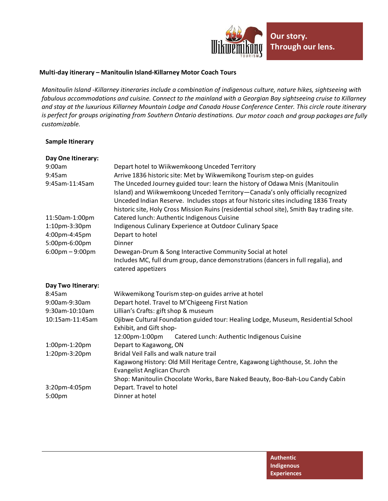

## **Multi-day itinerary – Manitoulin Island-Killarney Motor Coach Tours**

*Manitoulin Island -Killarney itineraries include a combination of indigenous culture, nature hikes, sightseeing with fabulous accommodations and cuisine. Connect to the mainland with a Georgian Bay sightseeing cruise to Killarney and stay at the luxurious Killarney Mountain Lodge and Canada House Conference Center. This circle route itinerary is perfect for groups originating from Southern Ontario destinations. Our motor coach and group packages are fully customizable.*

## **Sample Itinerary**

| Day One Itinerary:                |                                                                                                                                                                                                                                                                                                                                                     |  |
|-----------------------------------|-----------------------------------------------------------------------------------------------------------------------------------------------------------------------------------------------------------------------------------------------------------------------------------------------------------------------------------------------------|--|
| 9:00am                            | Depart hotel to Wiikwemkoong Unceded Territory                                                                                                                                                                                                                                                                                                      |  |
| 9:45am                            | Arrive 1836 historic site: Met by Wikwemikong Tourism step-on guides                                                                                                                                                                                                                                                                                |  |
| 9:45am-11:45am                    | The Unceded Journey guided tour: learn the history of Odawa Mnis (Manitoulin<br>Island) and Wiikwemkoong Unceded Territory—Canada's only officially recognized<br>Unceded Indian Reserve. Includes stops at four historic sites including 1836 Treaty<br>historic site, Holy Cross Mission Ruins (residential school site), Smith Bay trading site. |  |
| 11:50am-1:00pm                    | Catered lunch: Authentic Indigenous Cuisine                                                                                                                                                                                                                                                                                                         |  |
| 1:10pm-3:30pm                     | Indigenous Culinary Experience at Outdoor Culinary Space                                                                                                                                                                                                                                                                                            |  |
| 4:00pm-4:45pm<br>5:00pm-6:00pm    | Depart to hotel<br>Dinner                                                                                                                                                                                                                                                                                                                           |  |
| $6:00 \text{pm} - 9:00 \text{pm}$ | Dewegan-Drum & Song Interactive Community Social at hotel<br>Includes MC, full drum group, dance demonstrations (dancers in full regalia), and<br>catered appetizers                                                                                                                                                                                |  |
|                                   |                                                                                                                                                                                                                                                                                                                                                     |  |
| Day Two Itinerary:                |                                                                                                                                                                                                                                                                                                                                                     |  |
| 8:45am                            | Wikwemikong Tourism step-on guides arrive at hotel                                                                                                                                                                                                                                                                                                  |  |
| 9:00am-9:30am                     | Depart hotel. Travel to M'Chigeeng First Nation                                                                                                                                                                                                                                                                                                     |  |
| 9:30am-10:10am                    | Lillian's Crafts: gift shop & museum                                                                                                                                                                                                                                                                                                                |  |
| 10:15am-11:45am                   | Ojibwe Cultural Foundation guided tour: Healing Lodge, Museum, Residential School<br>Exhibit, and Gift shop-                                                                                                                                                                                                                                        |  |
|                                   | 12:00pm-1:00pm<br>Catered Lunch: Authentic Indigenous Cuisine                                                                                                                                                                                                                                                                                       |  |
| 1:00pm-1:20pm                     | Depart to Kagawong, ON                                                                                                                                                                                                                                                                                                                              |  |
| 1:20pm-3:20pm                     | Bridal Veil Falls and walk nature trail                                                                                                                                                                                                                                                                                                             |  |
|                                   | Kagawong History: Old Mill Heritage Centre, Kagawong Lighthouse, St. John the<br>Evangelist Anglican Church                                                                                                                                                                                                                                         |  |
|                                   | Shop: Manitoulin Chocolate Works, Bare Naked Beauty, Boo-Bah-Lou Candy Cabin                                                                                                                                                                                                                                                                        |  |
| 3:20pm-4:05pm                     | Depart. Travel to hotel                                                                                                                                                                                                                                                                                                                             |  |
|                                   |                                                                                                                                                                                                                                                                                                                                                     |  |